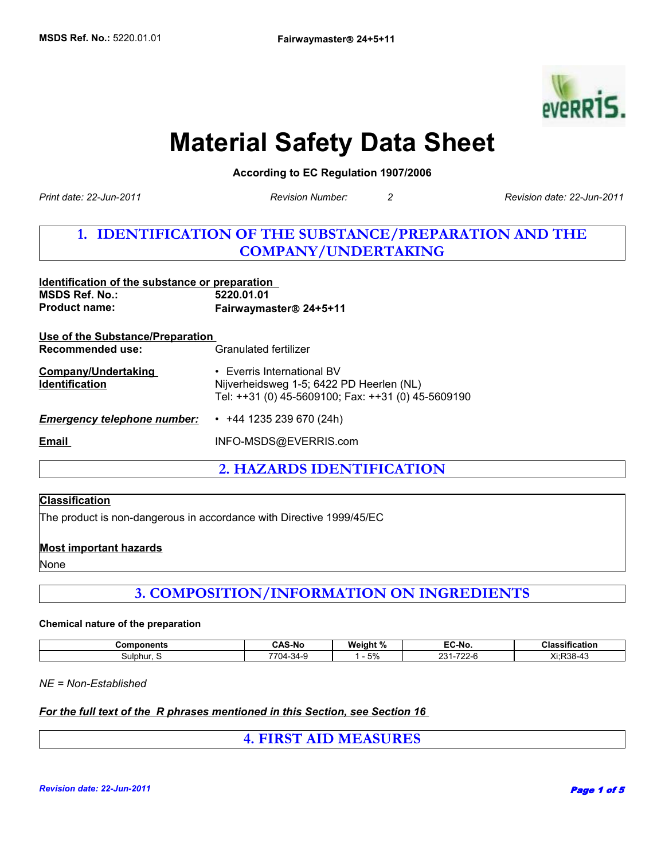

# **Material Safety Data Sheet**

**According to EC Regulation 1907/2006** 

*Print date: 22-Jun-2011*

*Revision Number: 2 Revision date: 22-Jun-2011*

## **1. IDENTIFICATION OF THE SUBSTANCE/PREPARATION AND THE COMPANY/UNDERTAKING**

| Identification of the substance or preparation<br><b>MSDS Ref. No.:</b><br><b>Product name:</b> | 5220.01.01<br>Fairwaymaster® 24+5+11                                                                                         |  |
|-------------------------------------------------------------------------------------------------|------------------------------------------------------------------------------------------------------------------------------|--|
| <u>Use of the Substance/Preparation</u><br>Recommended use:                                     | Granulated fertilizer                                                                                                        |  |
| <b>Company/Undertaking</b><br><b>Identification</b>                                             | • Everris International BV<br>Nijverheidsweg 1-5; 6422 PD Heerlen (NL)<br>Tel: ++31 (0) 45-5609100; Fax: ++31 (0) 45-5609190 |  |
| <b>Emergency telephone number:</b>                                                              | $\cdot$ +44 1235 239 670 (24h)                                                                                               |  |
| Email                                                                                           | INFO-MSDS@EVERRIS.com                                                                                                        |  |

**2. HAZARDS IDENTIFICATION**

### **Classification**

The product is non-dangerous in accordance with Directive 1999/45/EC

#### **Most important hazards**

None

**3. COMPOSITION/INFORMATION ON INGREDIENTS**

#### **Chemical nature of the preparation**

| <b>Components</b> | <b>CAS-No</b>       | -<br>.<br>MА<br>aan<br>70 | - -<br>EC-No      | .<br><b>Classification</b>                    |
|-------------------|---------------------|---------------------------|-------------------|-----------------------------------------------|
| Sulphur. S        | . 14<br>74-V<br>. . | $\mathbf{r}$<br>$\cup$ /( | ົດດີ<br>$-0$<br>∼ | w.<br>$\sim$ $\sim$<br>.<br>ΔL.<br>- טטר<br>᠇ |

*NE = Non-Established*

#### *For the full text of the R phrases mentioned in this Section, see Section 16*

**4. FIRST AID MEASURES**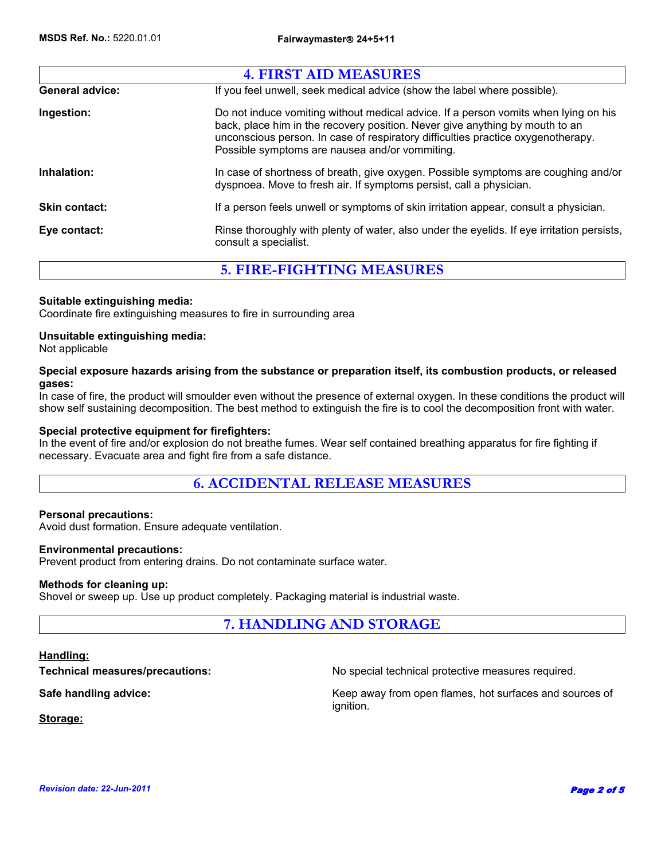|                        | <b>4. FIRST AID MEASURES</b>                                                                                                                                                                                                                                                                              |
|------------------------|-----------------------------------------------------------------------------------------------------------------------------------------------------------------------------------------------------------------------------------------------------------------------------------------------------------|
| <b>General advice:</b> | If you feel unwell, seek medical advice (show the label where possible).                                                                                                                                                                                                                                  |
| Ingestion:             | Do not induce vomiting without medical advice. If a person vomits when lying on his<br>back, place him in the recovery position. Never give anything by mouth to an<br>unconscious person. In case of respiratory difficulties practice oxygenotherapy.<br>Possible symptoms are nausea and/or vommiting. |
| Inhalation:            | In case of shortness of breath, give oxygen. Possible symptoms are coughing and/or<br>dyspnoea. Move to fresh air. If symptoms persist, call a physician.                                                                                                                                                 |
| <b>Skin contact:</b>   | If a person feels unwell or symptoms of skin irritation appear, consult a physician.                                                                                                                                                                                                                      |
| Eye contact:           | Rinse thoroughly with plenty of water, also under the eyelids. If eye irritation persists,<br>consult a specialist.                                                                                                                                                                                       |
|                        | <b>5. FIRE-FIGHTING MEASURES</b>                                                                                                                                                                                                                                                                          |

#### **Suitable extinguishing media:**

Coordinate fire extinguishing measures to fire in surrounding area

#### **Unsuitable extinguishing media:**

Not applicable

#### **Special exposure hazards arising from the substance or preparation itself, its combustion products, or released gases:**

In case of fire, the product will smoulder even without the presence of external oxygen. In these conditions the product will show self sustaining decomposition. The best method to extinguish the fire is to cool the decomposition front with water.

#### **Special protective equipment for firefighters:**

In the event of fire and/or explosion do not breathe fumes. Wear self contained breathing apparatus for fire fighting if necessary. Evacuate area and fight fire from a safe distance.

### **6. ACCIDENTAL RELEASE MEASURES**

#### **Personal precautions:**

Avoid dust formation. Ensure adequate ventilation.

#### **Environmental precautions:**

Prevent product from entering drains. Do not contaminate surface water.

#### **Methods for cleaning up:**

Shovel or sweep up. Use up product completely. Packaging material is industrial waste.

### **7. HANDLING AND STORAGE**

#### **Handling:**

**Technical measures/precautions:** No special technical protective measures required.

**Safe handling advice:** Keep away from open flames, hot surfaces and sources of ignition.

**Storage:**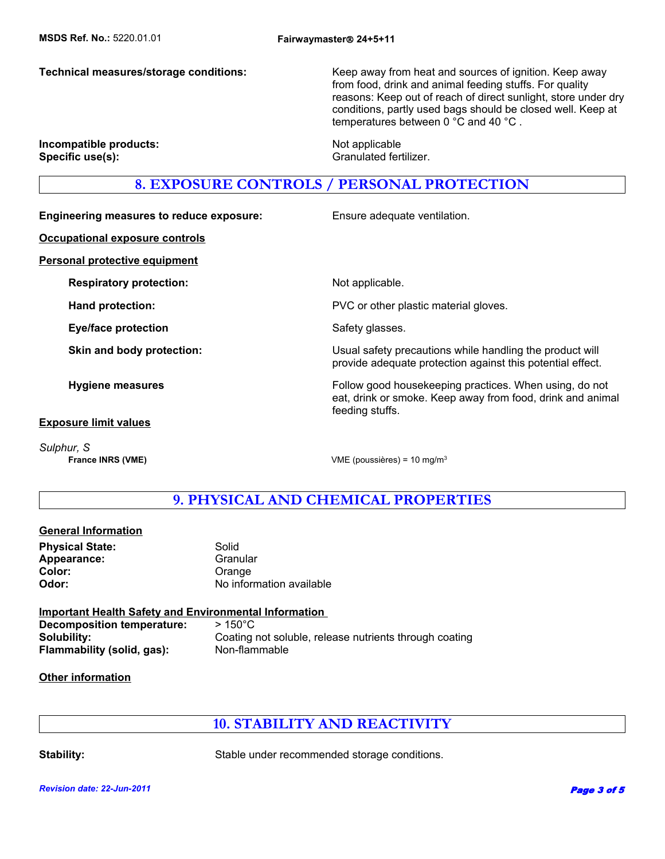**Technical measures/storage conditions:** Keep away from heat and sources of ignition. Keep away from food, drink and animal feeding stuffs. For quality reasons: Keep out of reach of direct sunlight, store under dry conditions, partly used bags should be closed well. Keep at temperatures between 0 °C and 40 °C .

**Incompatible products:** Not applicable **Specific use(s):** Granulated fertilizer.

### **8. EXPOSURE CONTROLS / PERSONAL PROTECTION**

**Engineering measures to reduce exposure:** Ensure adequate ventilation.

**Occupational exposure controls**

**Personal protective equipment**

**Respiratory protection:** Not applicable.

**Eye/face protection** Safety glasses.

**Exposure limit values**

*Sulphur, S*

**Hand protection: EXECUTE:** PVC or other plastic material gloves.

**Skin and body protection:** Usual safety precautions while handling the product will provide adequate protection against this potential effect.

**Hygiene measures Follow good housekeeping practices. When using, do not all the state of the Follow good housekeeping practices. When using, do not** eat, drink or smoke. Keep away from food, drink and animal feeding stuffs.

**France INRS (VME)** VME (poussières) = 10 mg/m<sup>3</sup>

### **9. PHYSICAL AND CHEMICAL PROPERTIES**

#### **General Information**

**Physical State:** Solid Appearance: Granular Color: Color: Color: Color: Color: Color: Color: Color: Color: Color: Color: Color: Color: Color: Color: Color: Color: Color: Color: Color: Color: Color: Color: Color: Color: Color: Color: Color: Color: Color: Color: Color

**Odor:** No information available

**Important Health Safety and Environmental Information Decomposition temperature:** > 150°C **Solubility:** Coating not soluble, release nutrients through coating **Flammability (solid, gas):** Non-flammable

#### **Other information**

### **10. STABILITY AND REACTIVITY**

**Stability:** Stable under recommended storage conditions.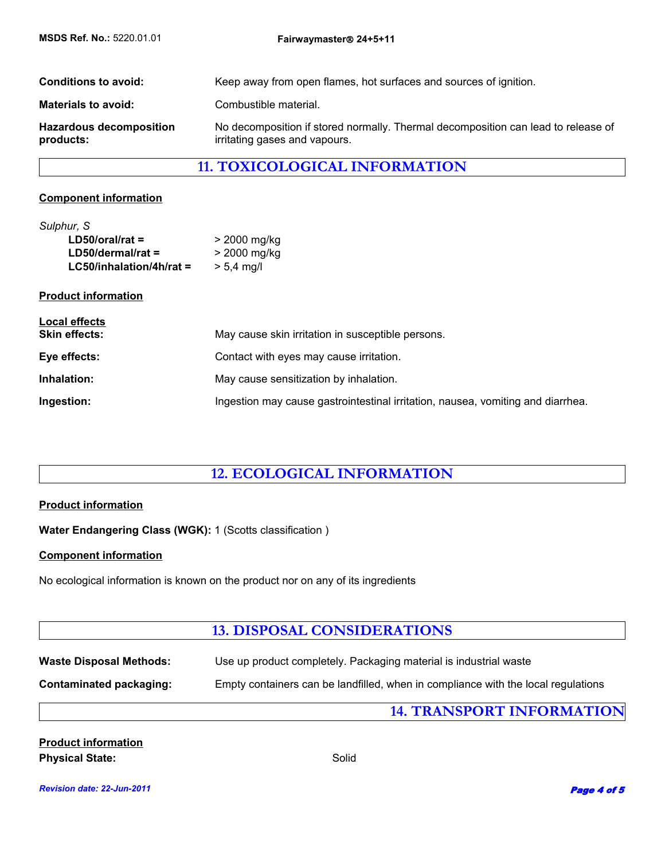| <b>Conditions to avoid:</b>                 | Keep away from open flames, hot surfaces and sources of ignition.                                                  |
|---------------------------------------------|--------------------------------------------------------------------------------------------------------------------|
| <b>Materials to avoid:</b>                  | Combustible material.                                                                                              |
| <b>Hazardous decomposition</b><br>products: | No decomposition if stored normally. Thermal decomposition can lead to release of<br>irritating gases and vapours. |

## **11. TOXICOLOGICAL INFORMATION**

#### **Component information**

| Sulphur, S                 |              |
|----------------------------|--------------|
| $LD50/oral/rat =$          | > 2000 mg/kg |
| $LD50/dermal/rat =$        | > 2000 mg/kg |
| $LG50/inhalation/4h/rat =$ | $> 5.4$ mg/l |

#### **Product information**

| Local effects<br><b>Skin effects:</b> | May cause skin irritation in susceptible persons.                               |
|---------------------------------------|---------------------------------------------------------------------------------|
| Eye effects:                          | Contact with eyes may cause irritation.                                         |
| Inhalation:                           | May cause sensitization by inhalation.                                          |
| Ingestion:                            | Ingestion may cause gastrointestinal irritation, nausea, vomiting and diarrhea. |

### **12. ECOLOGICAL INFORMATION**

#### **Product information**

**Water Endangering Class (WGK):** 1 (Scotts classification )

#### **Component information**

No ecological information is known on the product nor on any of its ingredients

### **13. DISPOSAL CONSIDERATIONS**

| <b>Waste Disposal Methods:</b> | Use up product completely. Packaging material is industrial waste                 |  |
|--------------------------------|-----------------------------------------------------------------------------------|--|
| Contaminated packaging:        | Empty containers can be landfilled, when in compliance with the local regulations |  |
|                                | <b>14. TRANSPORT INFORMATION</b>                                                  |  |

| <b>Product information</b> |       |
|----------------------------|-------|
| <b>Physical State:</b>     | Solid |